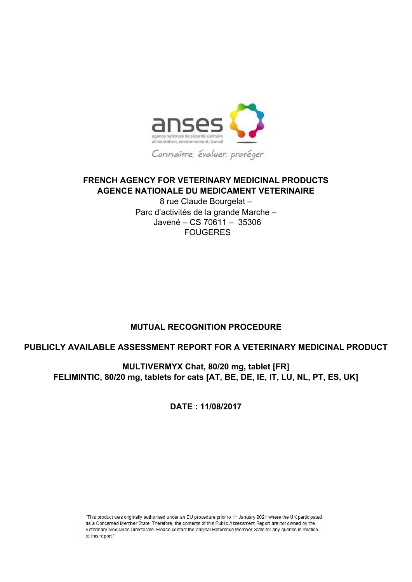

# **FRENCH AGENCY FOR VETERINARY MEDICINAL PRODUCTS AGENCE NATIONALE DU MEDICAMENT VETERINAIRE**

8 rue Claude Bourgelat – Parc d'activités de la grande Marche – Javené – CS 70611 – 35306 FOUGERES

# **MUTUAL RECOGNITION PROCEDURE**

# **PUBLICLY AVAILABLE ASSESSMENT REPORT FOR A VETERINARY MEDICINAL PRODUCT**

**MULTIVERMYX Chat, 80/20 mg, tablet [FR] FELIMINTIC, 80/20 mg, tablets for cats [AT, BE, DE, IE, IT, LU, NL, PT, ES, UK]** 

**DATE : 11/08/2017** 

"This product was originally authorised under an EU procedure prior to 1<sup>st</sup> January 2021 where the UK participated as a Concerned Member State. Therefore, the contents of this Public Assessment Report are not owned by the Veterinary Medicines Directorate. Please contact the original Reference Member State for any queries in relation to this report."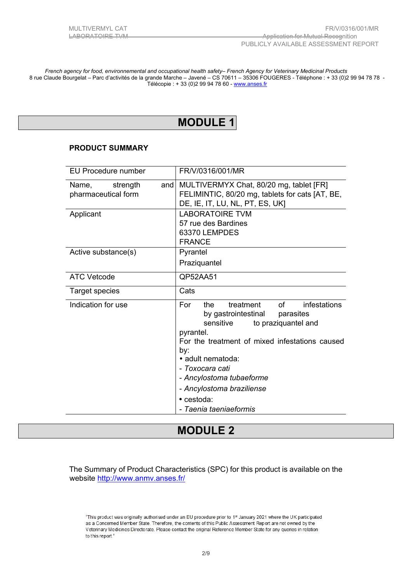*French agency for food, environnemental and occupational health safety– French Agency for Veterinary Medicinal Products*  8 rue Claude Bourgelat – Parc d'activités de la grande Marche – Javené – CS 70611 – 35306 FOUGERES - Téléphone : + 33 (0)2 99 94 78 78 - Télécopie : + 33 (0)2 99 94 78 60 [- www.anses.fr](http://www.anses.fr/)

# **MODULE 1**

## **PRODUCT SUMMARY**

| <b>EU Procedure number</b>                      | FR/V/0316/001/MR                                                                                                                                                                                                                                                                                                                  |  |  |
|-------------------------------------------------|-----------------------------------------------------------------------------------------------------------------------------------------------------------------------------------------------------------------------------------------------------------------------------------------------------------------------------------|--|--|
| and<br>Name,<br>strength<br>pharmaceutical form | MULTIVERMYX Chat, 80/20 mg, tablet [FR]<br>FELIMINTIC, 80/20 mg, tablets for cats [AT, BE,<br>DE, IE, IT, LU, NL, PT, ES, UK]                                                                                                                                                                                                     |  |  |
| Applicant                                       | <b>LABORATOIRE TVM</b><br>57 rue des Bardines<br>63370 LEMPDES<br><b>FRANCE</b>                                                                                                                                                                                                                                                   |  |  |
| Active substance(s)                             | Pyrantel<br>Praziquantel                                                                                                                                                                                                                                                                                                          |  |  |
| <b>ATC Vetcode</b>                              | QP52AA51                                                                                                                                                                                                                                                                                                                          |  |  |
| <b>Target species</b>                           | Cats                                                                                                                                                                                                                                                                                                                              |  |  |
| Indication for use                              | of<br>treatment<br>infestations<br>For<br>the<br>by gastrointestinal parasites<br>to praziquantel and<br>sensitive<br>pyrantel.<br>For the treatment of mixed infestations caused<br>by:<br>• adult nematoda:<br>- Toxocara cati<br>- Ancylostoma tubaeforme<br>- Ancylostoma braziliense<br>• cestoda:<br>- Taenia taeniaeformis |  |  |

# **MODULE 2**

The Summary of Product Characteristics (SPC) for this product is available on the website <http://www.anmv.anses.fr/>

"This product was originally authorised under an EU procedure prior to 1<sup>st</sup> January 2021 where the UK participated as a Concerned Member State. Therefore, the contents of this Public Assessment Report are not owned by the Veterinary Medicines Directorate. Please contact the original Reference Member State for any queries in relation to this report."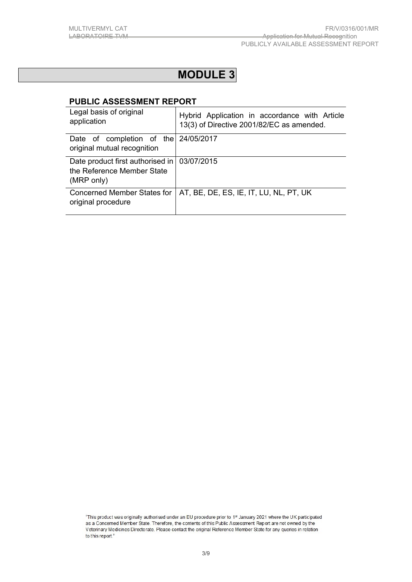# **MODULE 3**

# **PUBLIC ASSESSMENT REPORT**

| Legal basis of original<br>application                                                    | Hybrid Application in accordance with Article<br>13(3) of Directive 2001/82/EC as amended. |
|-------------------------------------------------------------------------------------------|--------------------------------------------------------------------------------------------|
| Date of completion of the 24/05/2017<br>original mutual recognition                       |                                                                                            |
| Date product first authorised in   03/07/2015<br>the Reference Member State<br>(MRP only) |                                                                                            |
| Concerned Member States for<br>original procedure                                         | AT, BE, DE, ES, IE, IT, LU, NL, PT, UK                                                     |

<sup>&</sup>quot;This product was originally authorised under an EU procedure prior to 1st January 2021 where the UK participated as a Concerned Member State. Therefore, the contents of this Public Assessment Report are not owned by the Veterinary Medicines Directorate. Please contact the original Reference Member State for any queries in relation to this report."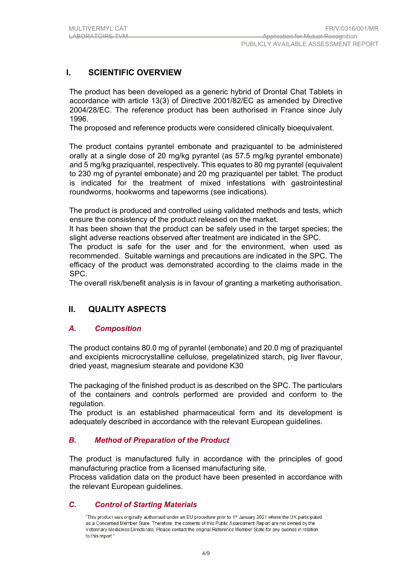# **I. SCIENTIFIC OVERVIEW**

The product has been developed as a generic hybrid of Drontal Chat Tablets in accordance with article 13(3) of Directive 2001/82/EC as amended by Directive 2004/28/EC. The reference product has been authorised in France since July 1996.

The proposed and reference products were considered clinically bioequivalent.

The product contains pyrantel embonate and praziquantel to be administered orally at a single dose of 20 mg/kg pyrantel (as 57.5 mg/kg pyrantel embonate) and 5 mg/kg praziquantel, respectively. This equates to 80 mg pyrantel (equivalent to 230 mg of pyrantel embonate) and 20 mg praziquantel per tablet. The product is indicated for the treatment of mixed infestations with gastrointestinal roundworms, hookworms and tapeworms (see indications).

The product is produced and controlled using validated methods and tests, which ensure the consistency of the product released on the market.

It has been shown that the product can be safely used in the target species; the slight adverse reactions observed after treatment are indicated in the SPC.

The product is safe for the user and for the environment, when used as recommended. Suitable warnings and precautions are indicated in the SPC. The efficacy of the product was demonstrated according to the claims made in the SPC.

The overall risk/benefit analysis is in favour of granting a marketing authorisation.

# **II. QUALITY ASPECTS**

#### *A. Composition*

The product contains 80.0 mg of pyrantel (embonate) and 20.0 mg of praziquantel and excipients microcrystalline cellulose, pregelatinized starch, pig liver flavour, dried yeast, magnesium stearate and povidone K30

The packaging of the finished product is as described on the SPC. The particulars of the containers and controls performed are provided and conform to the regulation.

The product is an established pharmaceutical form and its development is adequately described in accordance with the relevant European guidelines.

## *B. Method of Preparation of the Product*

The product is manufactured fully in accordance with the principles of good manufacturing practice from a licensed manufacturing site*.* 

Process validation data on the product have been presented in accordance with the relevant European guidelines.

## *C. Control of Starting Materials*

"This product was originally authorised under an EU procedure prior to 1st January 2021 where the UK participated as a Concerned Member State. Therefore, the contents of this Public Assessment Report are not owned by the Veterinary Medicines Directorate. Please contact the original Reference Member State for any queries in relation to this report."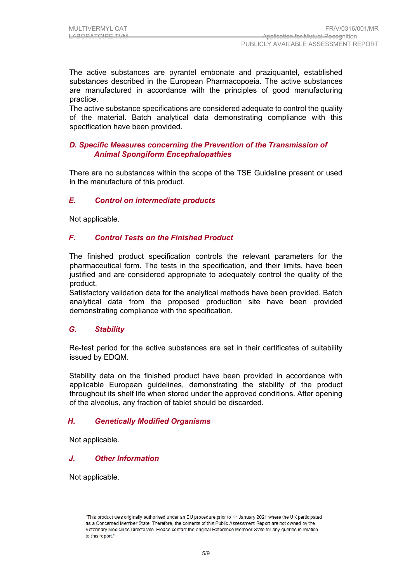The active substances are pyrantel embonate and praziquantel, established substances described in the European Pharmacopoeia. The active substances are manufactured in accordance with the principles of good manufacturing practice.

The active substance specifications are considered adequate to control the quality of the material. Batch analytical data demonstrating compliance with this specification have been provided.

# *D. Specific Measures concerning the Prevention of the Transmission of Animal Spongiform Encephalopathies*

There are no substances within the scope of the TSE Guideline present or used in the manufacture of this product*.* 

# *E. Control on intermediate products*

Not applicable.

# *F. Control Tests on the Finished Product*

The finished product specification controls the relevant parameters for the pharmaceutical form. The tests in the specification, and their limits, have been justified and are considered appropriate to adequately control the quality of the product.

Satisfactory validation data for the analytical methods have been provided. Batch analytical data from the proposed production site have been provided demonstrating compliance with the specification.

## *G. Stability*

Re-test period for the active substances are set in their certificates of suitability issued by EDQM.

Stability data on the finished product have been provided in accordance with applicable European guidelines, demonstrating the stability of the product throughout its shelf life when stored under the approved conditions. After opening of the alveolus, any fraction of tablet should be discarded.

## *H. Genetically Modified Organisms*

Not applicable.

## *J. Other Information*

Not applicable.

<sup>&</sup>quot;This product was originally authorised under an EU procedure prior to 1st January 2021 where the UK participated as a Concerned Member State. Therefore, the contents of this Public Assessment Report are not owned by the Veterinary Medicines Directorate. Please contact the original Reference Member State for any queries in relation to this report."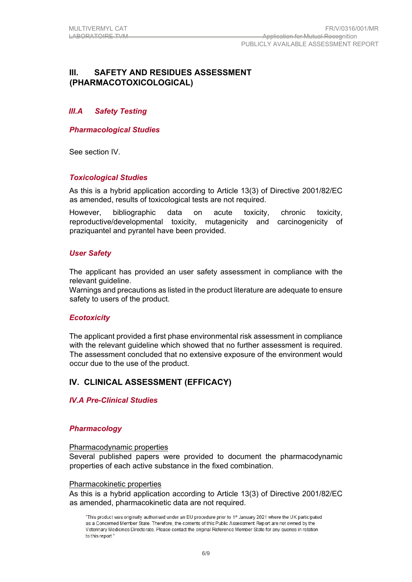# **III. SAFETY AND RESIDUES ASSESSMENT (PHARMACOTOXICOLOGICAL)**

# *III.A Safety Testing*

*Pharmacological Studies* 

See section IV.

## *Toxicological Studies*

As this is a hybrid application according to Article 13(3) of Directive 2001/82/EC as amended, results of toxicological tests are not required.

However, bibliographic data on acute toxicity, chronic toxicity, reproductive/developmental toxicity, mutagenicity and carcinogenicity of praziquantel and pyrantel have been provided.

## *User Safety*

The applicant has provided an user safety assessment in compliance with the relevant guideline.

Warnings and precautions as listed in the product literature are adequate to ensure safety to users of the product.

## *Ecotoxicity*

The applicant provided a first phase environmental risk assessment in compliance with the relevant guideline which showed that no further assessment is required. The assessment concluded that no extensive exposure of the environment would occur due to the use of the product.

# **IV. CLINICAL ASSESSMENT (EFFICACY)**

#### *IV.A Pre-Clinical Studies*

#### *Pharmacology*

#### Pharmacodynamic properties

Several published papers were provided to document the pharmacodynamic properties of each active substance in the fixed combination.

#### Pharmacokinetic properties

As this is a hybrid application according to Article 13(3) of Directive 2001/82/EC as amended, pharmacokinetic data are not required.

<sup>&</sup>quot;This product was originally authorised under an EU procedure prior to 1st January 2021 where the UK participated as a Concerned Member State. Therefore, the contents of this Public Assessment Report are not owned by the Veterinary Medicines Directorate. Please contact the original Reference Member State for any queries in relation to this report."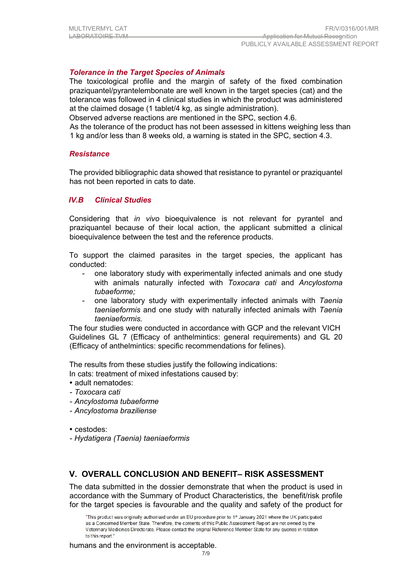# *Tolerance in the Target Species of Animals*

The toxicological profile and the margin of safety of the fixed combination praziquantel/pyrantelembonate are well known in the target species (cat) and the tolerance was followed in 4 clinical studies in which the product was administered at the claimed dosage (1 tablet/4 kg, as single administration).

Observed adverse reactions are mentioned in the SPC, section 4.6.

As the tolerance of the product has not been assessed in kittens weighing less than 1 kg and/or less than 8 weeks old, a warning is stated in the SPC, section 4.3.

#### *Resistance*

The provided bibliographic data showed that resistance to pyrantel or praziquantel has not been reported in cats to date.

## *IV.B Clinical Studies*

Considering that *in vivo* bioequivalence is not relevant for pyrantel and praziquantel because of their local action, the applicant submitted a clinical bioequivalence between the test and the reference products.

To support the claimed parasites in the target species, the applicant has conducted:

- one laboratory study with experimentally infected animals and one study with animals naturally infected with *Toxocara cati* and *Ancylostoma tubaeforme;*
- one laboratory study with experimentally infected animals with *Taenia taeniaeformis* and one study with naturally infected animals with *Taenia taeniaeformis.*

The four studies were conducted in accordance with GCP and the relevant VICH Guidelines GL 7 (Efficacy of anthelmintics: general requirements) and GL 20 (Efficacy of anthelmintics: specific recommendations for felines).

The results from these studies justify the following indications:

In cats: treatment of mixed infestations caused by:

- adult nematodes:
- *Toxocara cati*
- *Ancylostoma tubaeforme*
- *Ancylostoma braziliense*

cestodes:

- *Hydatigera (Taenia) taeniaeformis*

## **V. OVERALL CONCLUSION AND BENEFIT– RISK ASSESSMENT**

The data submitted in the dossier demonstrate that when the product is used in accordance with the Summary of Product Characteristics, the benefit/risk profile for the target species is favourable and the quality and safety of the product for

humans and the environment is acceptable.

<sup>&</sup>quot;This product was originally authorised under an EU procedure prior to 1<sup>st</sup> January 2021 where the UK participated as a Concerned Member State. Therefore, the contents of this Public Assessment Report are not owned by the Veterinary Medicines Directorate. Please contact the original Reference Member State for any queries in relation to this report."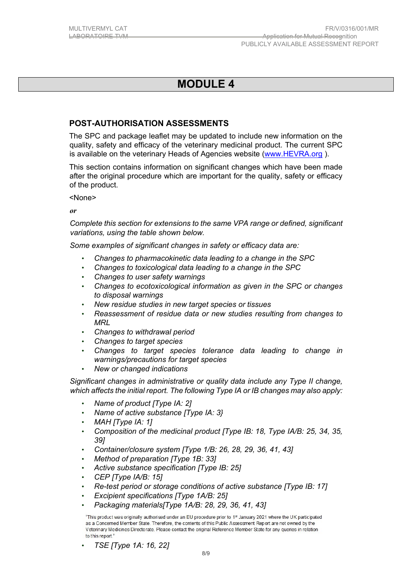# **MODULE 4**

# **POST-AUTHORISATION ASSESSMENTS**

The SPC and package leaflet may be updated to include new information on the quality, safety and efficacy of the veterinary medicinal product. The current SPC is available on the veterinary Heads of Agencies website [\(www.HEVRA.org](http://www.hevra.org/) ).

This section contains information on significant changes which have been made after the original procedure which are important for the quality, safety or efficacy of the product.

<None>

*or* 

*Complete this section for extensions to the same VPA range or defined, significant variations, using the table shown below.* 

*Some examples of significant changes in safety or efficacy data are:* 

- *Changes to pharmacokinetic data leading to a change in the SPC*
- *Changes to toxicological data leading to a change in the SPC*
- *Changes to user safety warnings*
- *Changes to ecotoxicological information as given in the SPC or changes to disposal warnings*
- *New residue studies in new target species or tissues*
- *Reassessment of residue data or new studies resulting from changes to MRL*
- *Changes to withdrawal period*
- *Changes to target species*
- *Changes to target species tolerance data leading to change in warnings/precautions for target species*
- *New or changed indications*

*Significant changes in administrative or quality data include any Type II change, which affects the initial report. The following Type IA or IB changes may also apply:* 

- *Name of product [Type IA: 2]*
- *Name of active substance [Type IA: 3}*
- *MAH [Type IA: 1]*
- *Composition of the medicinal product [Type IB: 18, Type IA/B: 25, 34, 35, 39]*
- *Container/closure system [Type 1/B: 26, 28, 29, 36, 41, 43]*
- *Method of preparation [Type 1B: 33]*
- *Active substance specification [Type IB: 25]*
- *CEP [Type IA/B: 15]*
- *Re-test period or storage conditions of active substance [Type IB: 17]*
- *Excipient specifications [Type 1A/B: 25]*
- *Packaging materials[Type 1A/B: 28, 29, 36, 41, 43]*

"This product was originally authorised under an EU procedure prior to 1st January 2021 where the UK participated as a Concerned Member State. Therefore, the contents of this Public Assessment Report are not owned by the Veterinary Medicines Directorate. Please contact the original Reference Member State for any queries in relation to this report.

• *TSE [Type 1A: 16, 22]*